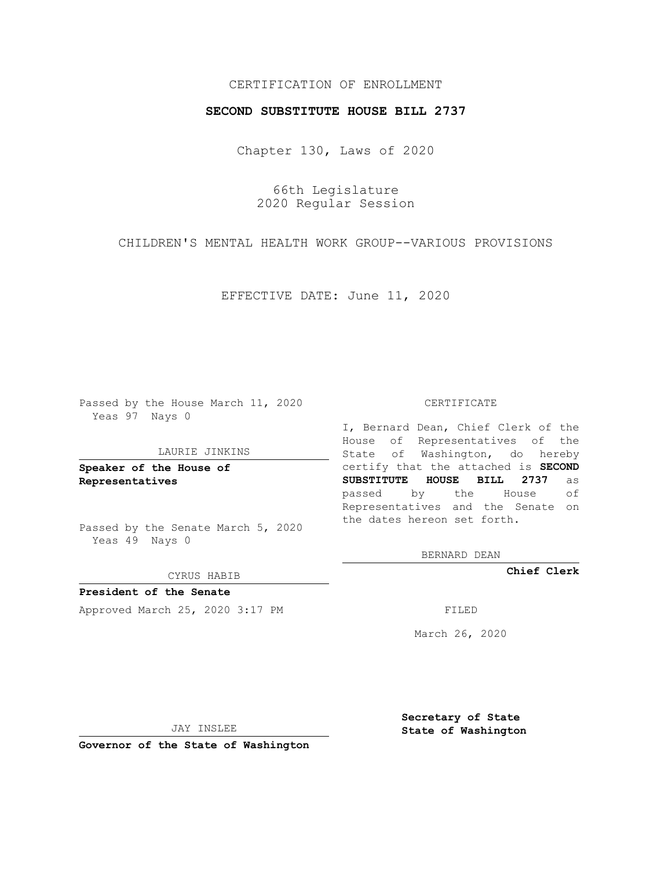# CERTIFICATION OF ENROLLMENT

## **SECOND SUBSTITUTE HOUSE BILL 2737**

Chapter 130, Laws of 2020

66th Legislature 2020 Regular Session

CHILDREN'S MENTAL HEALTH WORK GROUP--VARIOUS PROVISIONS

EFFECTIVE DATE: June 11, 2020

Passed by the House March 11, 2020 Yeas 97 Nays 0

### LAURIE JINKINS

**Speaker of the House of Representatives**

Passed by the Senate March 5, 2020 Yeas 49 Nays 0

#### CYRUS HABIB

**President of the Senate** Approved March 25, 2020 3:17 PM

#### CERTIFICATE

I, Bernard Dean, Chief Clerk of the House of Representatives of the State of Washington, do hereby certify that the attached is **SECOND SUBSTITUTE HOUSE BILL 2737** as passed by the House of Representatives and the Senate on the dates hereon set forth.

BERNARD DEAN

**Chief Clerk**

March 26, 2020

JAY INSLEE

**Governor of the State of Washington**

**Secretary of State State of Washington**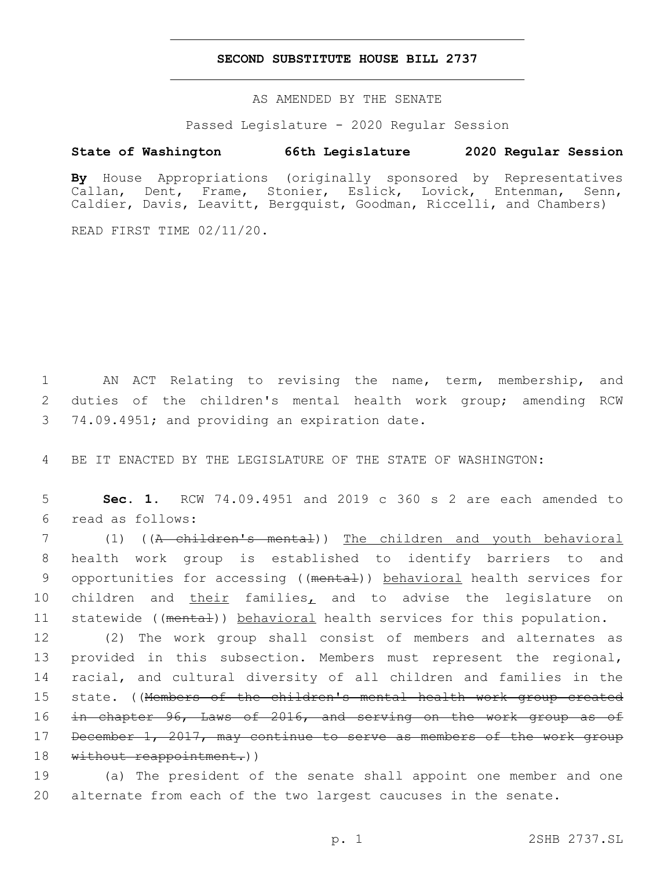## **SECOND SUBSTITUTE HOUSE BILL 2737**

AS AMENDED BY THE SENATE

Passed Legislature - 2020 Regular Session

# **State of Washington 66th Legislature 2020 Regular Session**

**By** House Appropriations (originally sponsored by Representatives Callan, Dent, Frame, Stonier, Eslick, Lovick, Entenman, Senn, Caldier, Davis, Leavitt, Bergquist, Goodman, Riccelli, and Chambers)

READ FIRST TIME 02/11/20.

1 AN ACT Relating to revising the name, term, membership, and 2 duties of the children's mental health work group; amending RCW 3 74.09.4951; and providing an expiration date.

4 BE IT ENACTED BY THE LEGISLATURE OF THE STATE OF WASHINGTON:

5 **Sec. 1.** RCW 74.09.4951 and 2019 c 360 s 2 are each amended to read as follows:6

7 (1) ((A children's mental)) The children and youth behavioral 8 health work group is established to identify barriers to and 9 opportunities for accessing ((mental)) behavioral health services for 10 children and *their families*, and to advise the legislature on 11 statewide ((mental)) behavioral health services for this population.

12 (2) The work group shall consist of members and alternates as 13 provided in this subsection. Members must represent the regional, 14 racial, and cultural diversity of all children and families in the 15 state. ((Members of the children's mental health work group created 16 in chapter 96, Laws of 2016, and serving on the work group as of 17 December 1, 2017, may continue to serve as members of the work group 18 without reappointment.))

19 (a) The president of the senate shall appoint one member and one 20 alternate from each of the two largest caucuses in the senate.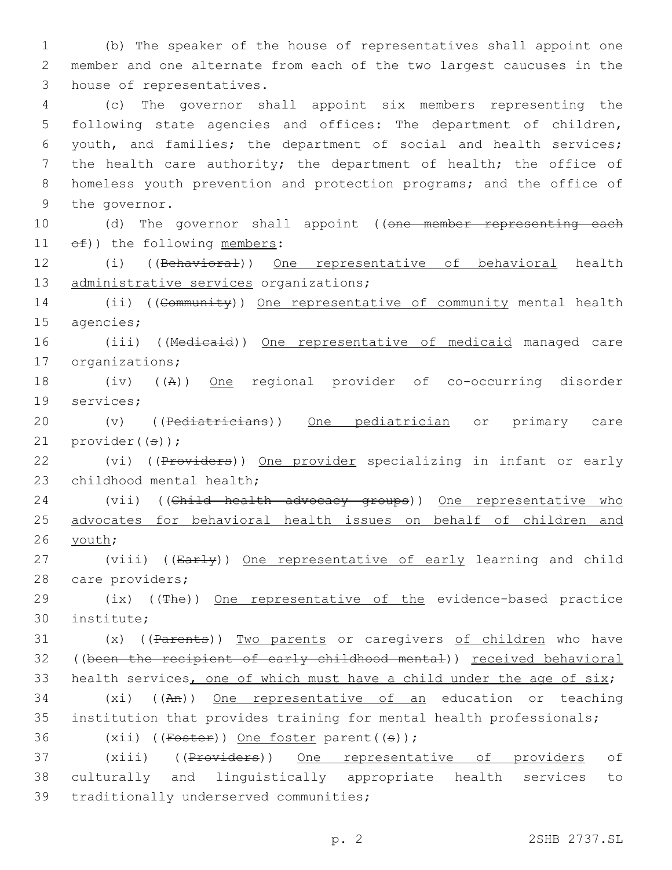1 (b) The speaker of the house of representatives shall appoint one 2 member and one alternate from each of the two largest caucuses in the 3 house of representatives.

 (c) The governor shall appoint six members representing the following state agencies and offices: The department of children, youth, and families; the department of social and health services; the health care authority; the department of health; the office of homeless youth prevention and protection programs; and the office of 9 the governor.

10 (d) The governor shall appoint ((one member representing each  $11$   $\Theta$  $f$ ) the following members:

12 (i) ((Behavioral)) One representative of behavioral health 13 administrative services organizations;

14 (ii) ((Community)) One representative of community mental health 15 agencies;

16 (iii) ((Medicaid)) One representative of medicaid managed care 17 organizations;

18 (iv) ((A)) One regional provider of co-occurring disorder 19 services;

20 (v) ((<del>Pediatricians</del>)) One pediatrician or primary care 21  $provider(G);$ 

22 (vi) ((Providers)) One provider specializing in infant or early 23 childhood mental health;

24 (vii) ((Child health advocacy groups)) One representative who 25 advocates for behavioral health issues on behalf of children and 26 youth;

27 (viii) ((Early)) One representative of early learning and child 28 care providers;

29 (ix) ((The)) One representative of the evidence-based practice institute;30

31 (x) ((Parents)) Two parents or caregivers of children who have 32 ((been the recipient of early childhood mental)) received behavioral 33 health services, one of which must have a child under the age of six; 34 (xi) ((An)) One representative of an education or teaching

35 institution that provides training for mental health professionals; 36 (xii) ( $(Foster)$ ) One foster parent( $(s)$ );

37 (xiii) ((Providers)) One representative of providers of 38 culturally and linguistically appropriate health services to 39 traditionally underserved communities;

p. 2 2SHB 2737.SL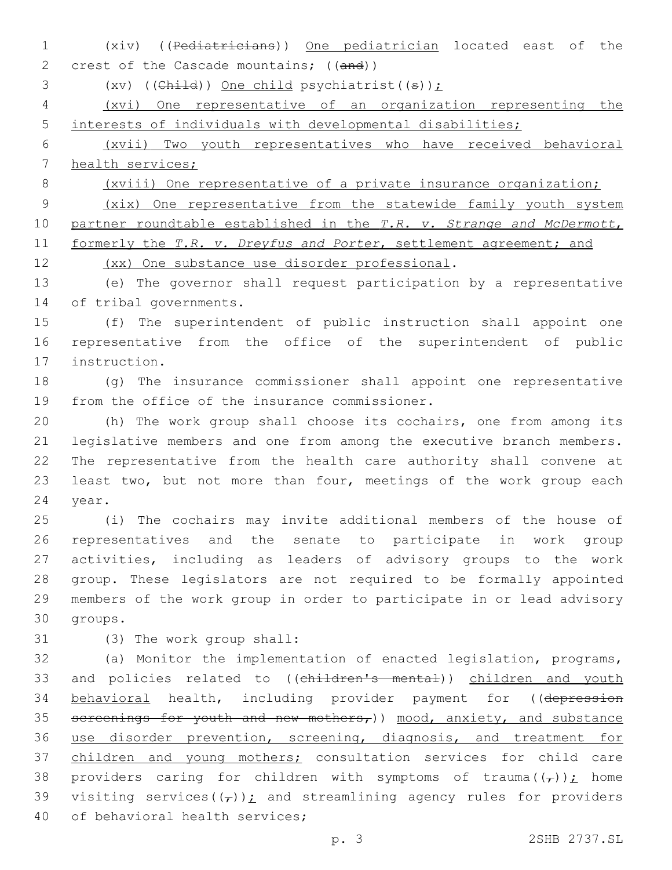1 (xiv) ((Pediatricians)) One pediatrician located east of the 2 crest of the Cascade mountains; ((and))

3 (xv) (( $\text{Child}$ ) One child psychiatrist(( $\theta$ ));

4 (xvi) One representative of an organization representing the 5 interests of individuals with developmental disabilities;

6 (xvii) Two youth representatives who have received behavioral 7 health services;

8 (xviii) One representative of a private insurance organization;

9 (xix) One representative from the statewide family youth system 10 partner roundtable established in the *T.R. v. Strange and McDermott*, 11 formerly the *T.R. v. Dreyfus and Porter*, settlement agreement; and

12 (xx) One substance use disorder professional.

13 (e) The governor shall request participation by a representative 14 of tribal governments.

15 (f) The superintendent of public instruction shall appoint one 16 representative from the office of the superintendent of public 17 instruction.

18 (g) The insurance commissioner shall appoint one representative 19 from the office of the insurance commissioner.

20 (h) The work group shall choose its cochairs, one from among its 21 legislative members and one from among the executive branch members. 22 The representative from the health care authority shall convene at 23 least two, but not more than four, meetings of the work group each 24 year.

 (i) The cochairs may invite additional members of the house of representatives and the senate to participate in work group activities, including as leaders of advisory groups to the work group. These legislators are not required to be formally appointed members of the work group in order to participate in or lead advisory 30 groups.

31 (3) The work group shall:

32 (a) Monitor the implementation of enacted legislation, programs, 33 and policies related to ((children's mental)) children and youth 34 behavioral health, including provider payment for ((depression 35 sereenings for youth and new mothers,)) mood, anxiety, and substance 36 use disorder prevention, screening, diagnosis, and treatment for 37 children and young mothers; consultation services for child care 38 providers caring for children with symptoms of trauma $(\tau)$ ); home 39 visiting services( $(\tau)$ ); and streamlining agency rules for providers 40 of behavioral health services;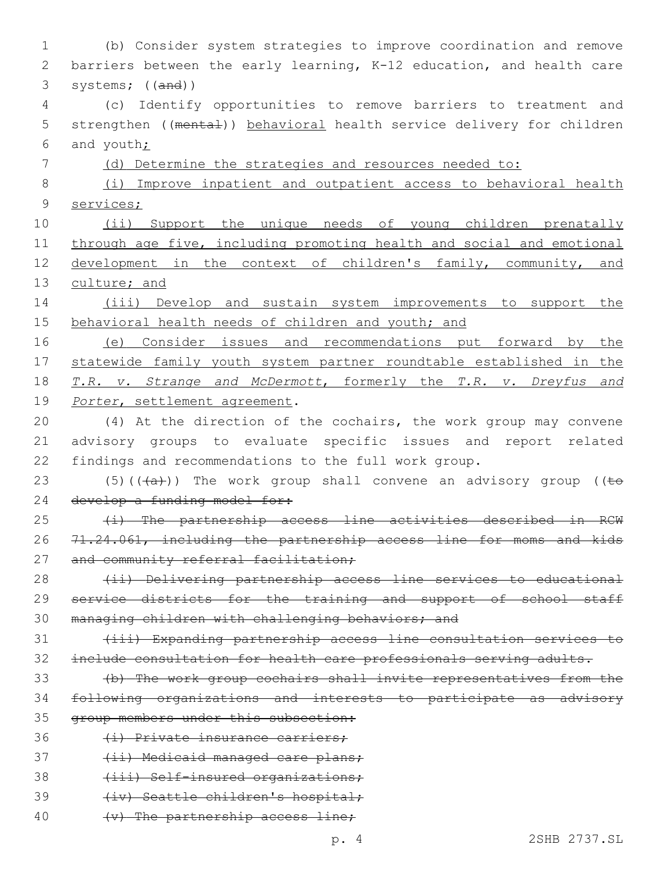| 1           | (b) Consider system strategies to improve coordination and remove                              |
|-------------|------------------------------------------------------------------------------------------------|
| 2           | barriers between the early learning, K-12 education, and health care                           |
| 3           | systems; $((and))$                                                                             |
| 4           | (c) Identify opportunities to remove barriers to treatment and                                 |
| 5           | strengthen ((mental)) behavioral health service delivery for children                          |
| 6           | and youth;                                                                                     |
| 7           | (d) Determine the strategies and resources needed to:                                          |
| 8           | (i) Improve inpatient and outpatient access to behavioral health                               |
| $\mathsf 9$ | services;                                                                                      |
| 10          | (ii) Support the unique needs of young children prenatally                                     |
| 11          | through age five, including promoting health and social and emotional                          |
| 12          | development in the context of children's family, community, and                                |
| 13          | culture; and                                                                                   |
| 14          | (iii) Develop and sustain system improvements to support the                                   |
| 15          | behavioral health needs of children and youth; and                                             |
| 16          | (e) Consider issues and recommendations put forward by the                                     |
| 17          | statewide family youth system partner roundtable established in the                            |
| 18          | T.R. v. Strange and McDermott, formerly the T.R. v. Dreyfus and                                |
| 19          | Porter, settlement agreement.                                                                  |
| 20          | (4) At the direction of the cochairs, the work group may convene                               |
| 21          | advisory groups to evaluate specific issues and report related                                 |
| 22          | findings and recommendations to the full work group.                                           |
| 23          | $(5)$ ( $(\overline{+a})$ ) The work group shall convene an advisory group ( $(\overline{+e})$ |
| 24          | develop a funding model for:                                                                   |
| 25          | (i) The partnership access line activities described<br>RCW                                    |
| 26          | 71.24.061, including the partnership access line for moms and kids                             |
| 27          | and community referral facilitation;                                                           |
| 28          | (ii) Delivering partnership access line services to educational                                |
| 29          | service districts for the training and support of school staff                                 |
| 30          | managing children with challenging behaviors; and                                              |
| 31          | (iii) Expanding partnership access line consultation services to                               |
| 32          | include consultation for health care professionals serving adults.                             |
| 33          | (b) The work group cochairs shall invite representatives from the                              |
| 34          | following organizations and interests to participate as advisory                               |
| 35          | group members under this subsection:                                                           |
| 36          | (i) Private insurance carriers;                                                                |
| 37          | (ii) Medicaid managed care plans;                                                              |
| 38          | (iii) Self-insured organizations;                                                              |
| 39          | (iv) Seattle children's hospital;                                                              |
| 40          | (v) The partnership access line;                                                               |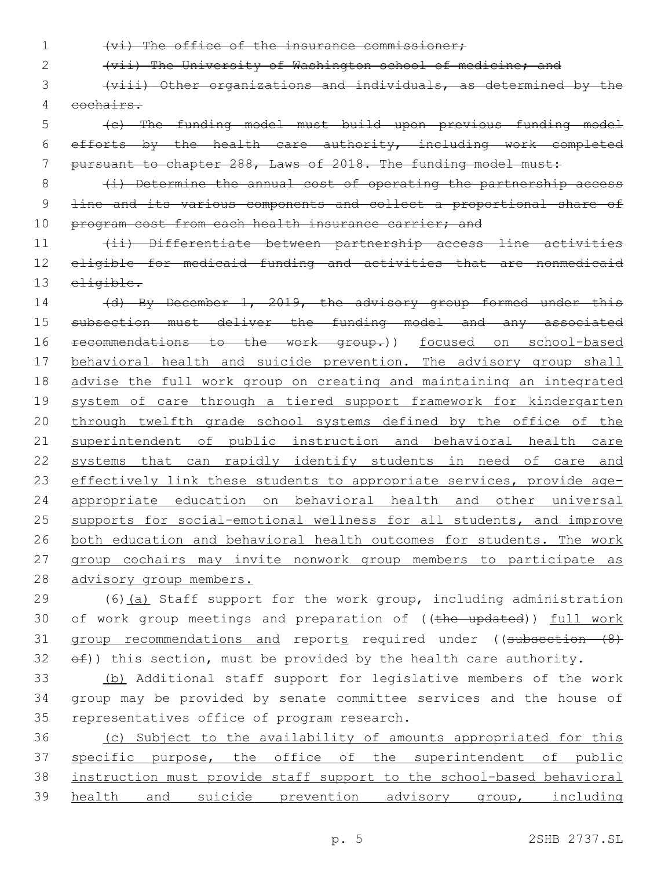1 (vi) The office of the insurance commissioner;

2 (vii) The University of Washington school of medicine; and

3 (viii) Other organizations and individuals, as determined by the 4 cochairs.

5 (c) The funding model must build upon previous funding model 6 efforts by the health care authority, including work completed 7 pursuant to chapter 288, Laws of 2018. The funding model must:

8 (i) Determine the annual cost of operating the partnership access 9 <del>line and its various components and collect a proportional share of</del> 10 program cost from each health insurance carrier; and

11 (ii) Differentiate between partnership access line activities 12 eligible for medicaid funding and activities that are nonmedicaid 13 eligible.

14 (d) By December 1, 2019, the advisory group formed under this 15 subsection must deliver the funding model and any associated 16 recommendations to the work group.)) focused on school-based 17 behavioral health and suicide prevention. The advisory group shall 18 advise the full work group on creating and maintaining an integrated 19 system of care through a tiered support framework for kindergarten 20 through twelfth grade school systems defined by the office of the 21 superintendent of public instruction and behavioral health care 22 systems that can rapidly identify students in need of care and 23 effectively link these students to appropriate services, provide age-24 appropriate education on behavioral health and other universal 25 supports for social-emotional wellness for all students, and improve 26 both education and behavioral health outcomes for students. The work 27 group cochairs may invite nonwork group members to participate as 28 advisory group members.

29 (6)(a) Staff support for the work group, including administration 30 of work group meetings and preparation of ((the updated)) full work 31 group recommendations and reports required under ((subsection (8)  $32$   $\Theta$  $f$ ) this section, must be provided by the health care authority.

33 (b) Additional staff support for legislative members of the work 34 group may be provided by senate committee services and the house of 35 representatives office of program research.

 (c) Subject to the availability of amounts appropriated for this 37 specific purpose, the office of the superintendent of public instruction must provide staff support to the school-based behavioral health and suicide prevention advisory group, including